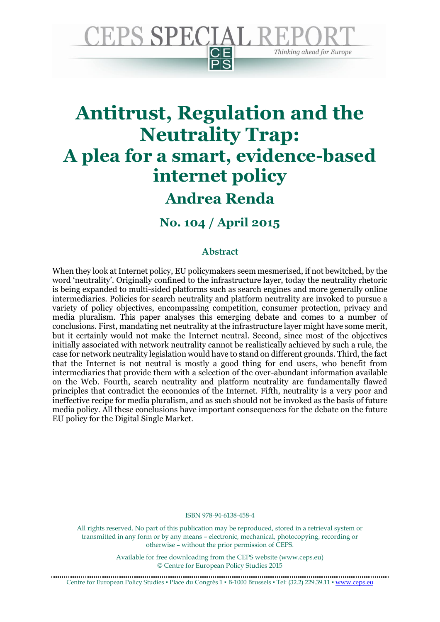

# **Antitrust, Regulation and the Neutrality Trap: A plea for a smart, evidence-based internet policy**

# **Andrea Renda**

**No. 104 / April 2015**

## **Abstract**

When they look at Internet policy, EU policymakers seem mesmerised, if not bewitched, by the word 'neutrality'. Originally confined to the infrastructure layer, today the neutrality rhetoric is being expanded to multi-sided platforms such as search engines and more generally online intermediaries. Policies for search neutrality and platform neutrality are invoked to pursue a variety of policy objectives, encompassing competition, consumer protection, privacy and media pluralism. This paper analyses this emerging debate and comes to a number of conclusions. First, mandating net neutrality at the infrastructure layer might have some merit, but it certainly would not make the Internet neutral. Second, since most of the objectives initially associated with network neutrality cannot be realistically achieved by such a rule, the case for network neutrality legislation would have to stand on different grounds. Third, the fact that the Internet is not neutral is mostly a good thing for end users, who benefit from intermediaries that provide them with a selection of the over-abundant information available on the Web. Fourth, search neutrality and platform neutrality are fundamentally flawed principles that contradict the economics of the Internet. Fifth, neutrality is a very poor and ineffective recipe for media pluralism, and as such should not be invoked as the basis of future media policy. All these conclusions have important consequences for the debate on the future EU policy for the Digital Single Market.

ISBN 978-94-6138-458-4

All rights reserved. No part of this publication may be reproduced, stored in a retrieval system or transmitted in any form or by any means – electronic, mechanical, photocopying, recording or otherwise – without the prior permission of CEPS.

> Available for free downloading from the CEPS website (www.ceps.eu) © Centre for European Policy Studies 2015

Centre for European Policy Studies ▪ Place du Congrès 1 ▪ B-1000 Brussels ▪ Tel: (32.2) 229.39.11 ▪ [www.ceps.eu](http://www.ceps.eu/)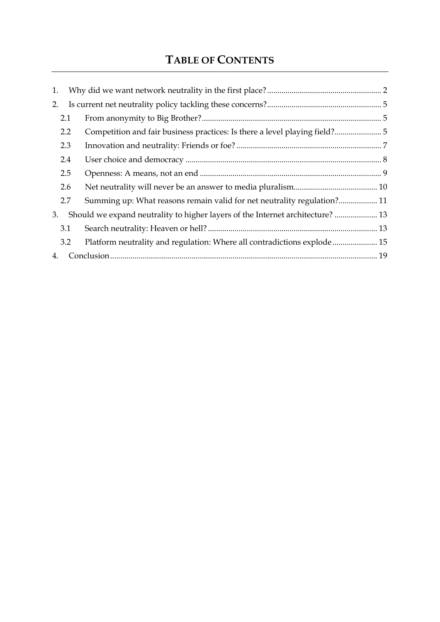# **TABLE OF CONTENTS**

| 1.                                                                                   |                                                                            |  |
|--------------------------------------------------------------------------------------|----------------------------------------------------------------------------|--|
| 2.                                                                                   |                                                                            |  |
| 2.1                                                                                  |                                                                            |  |
| 2.2                                                                                  | Competition and fair business practices: Is there a level playing field? 5 |  |
| 2.3                                                                                  |                                                                            |  |
| 2.4                                                                                  |                                                                            |  |
| 2.5                                                                                  |                                                                            |  |
| 2.6                                                                                  |                                                                            |  |
| 2.7                                                                                  | Summing up: What reasons remain valid for net neutrality regulation? 11    |  |
| Should we expand neutrality to higher layers of the Internet architecture?  13<br>3. |                                                                            |  |
| 3.1                                                                                  |                                                                            |  |
| 3.2                                                                                  | Platform neutrality and regulation: Where all contradictions explode 15    |  |
| 4.                                                                                   |                                                                            |  |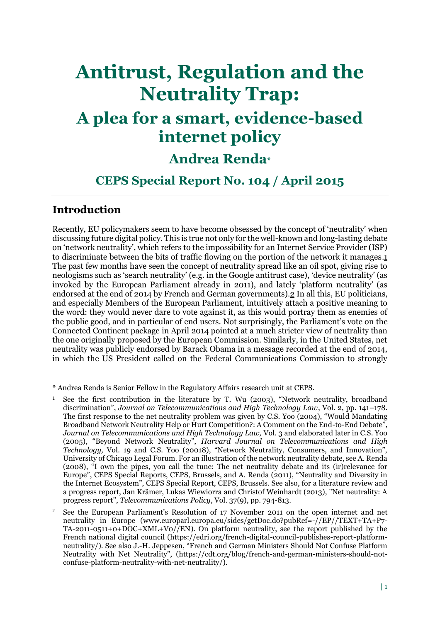# **Antitrust, Regulation and the Neutrality Trap:**

# **A plea for a smart, evidence-based internet policy**

# **Andrea Renda\***

# **CEPS Special Report No. 104 / April 2015**

# **Introduction**

 $\overline{a}$ 

Recently, EU policymakers seem to have become obsessed by the concept of 'neutrality' when discussing future digital policy. This is true not only for the well-known and long-lasting debate on 'network neutrality', which refers to the impossibility for an Internet Service Provider (ISP) to discriminate between the bits of traffic flowing on the portion of the network it manages.1 The past few months have seen the concept of neutrality spread like an oil spot, giving rise to neologisms such as 'search neutrality' (e.g. in the Google antitrust case), 'device neutrality' (as invoked by the European Parliament already in 2011), and lately 'platform neutrality' (as endorsed at the end of 2014 by French and German governments).2 In all this, EU politicians, and especially Members of the European Parliament, intuitively attach a positive meaning to the word: they would never dare to vote against it, as this would portray them as enemies of the public good, and in particular of end users. Not surprisingly, the Parliament's vote on the Connected Continent package in April 2014 pointed at a much stricter view of neutrality than the one originally proposed by the European Commission. Similarly, in the United States, net neutrality was publicly endorsed by Barack Obama in a message recorded at the end of 2014, in which the US President called on the Federal Communications Commission to strongly

<sup>\*</sup> Andrea Renda is Senior Fellow in the Regulatory Affairs research unit at CEPS.

<sup>&</sup>lt;sup>1</sup> See the first contribution in the literature by T. Wu (2003), "Network neutrality, broadband discrimination", *Journal on Telecommunications and High Technology Law*, Vol. 2, pp. 141–178. The first response to the net neutrality problem was given by C.S. Yoo (2004), "Would Mandating Broadband Network Neutrality Help or Hurt Competition?: A Comment on the End-to-End Debate", *Journal on Telecommunications and High Technology Law,* Vol. 3 and elaborated later in C.S. Yoo (2005), "Beyond Network Neutrality", *Harvard Journal on Telecommunications and High Technology,* Vol. 19 and C.S. Yoo (20018), "Network Neutrality, Consumers, and Innovation", University of Chicago Legal Forum. For an illustration of the network neutrality debate, see A. Renda (2008), "I own the pipes, you call the tune: The net neutrality debate and its (ir)relevance for Europe", CEPS Special Reports, CEPS, Brussels, and A. Renda (2011), "Neutrality and Diversity in the Internet Ecosystem", CEPS Special Report, CEPS, Brussels. See also, for a literature review and a progress report, Jan Krämer, Lukas Wiewiorra and Christof Weinhardt (2013), "Net neutrality: A progress report", *Telecommunications Policy*, Vol. 37(9), pp. 794-813.

<sup>2</sup> See the European Parliament's Resolution of 17 November 2011 on the open internet and net neutrality in Europe [\(www.europarl.europa.eu/sides/getDoc.do?pubRef=-//EP//TEXT+TA+P7-](http://(www.europarl.europa.eu/sides/getDoc.do?pubRef=-//EP//TEXT+TA+P7-TA-2011-0511+0+DOC+XML+V0//EN) [TA-2011-0511+0+DOC+XML+V0//EN\)](http://(www.europarl.europa.eu/sides/getDoc.do?pubRef=-//EP//TEXT+TA+P7-TA-2011-0511+0+DOC+XML+V0//EN). On platform neutrality, see the report published by the French national digital council [\(https://edri.org/french-digital-council-publishes-report-platform](https://edri.org/french-digital-council-publishes-report-platform-neutrality/)[neutrality/\)](https://edri.org/french-digital-council-publishes-report-platform-neutrality/). See also J.-H. Jeppesen, "French and German Ministers Should Not Confuse Platform Neutrality with Net Neutrality", ([https://cdt.org/blog/french-and-german-ministers-should-not](https://cdt.org/blog/french-and-german-ministers-should-not-confuse-platform-neutrality-with-net-neutrality/)[confuse-platform-neutrality-with-net-neutrality/\)](https://cdt.org/blog/french-and-german-ministers-should-not-confuse-platform-neutrality-with-net-neutrality/).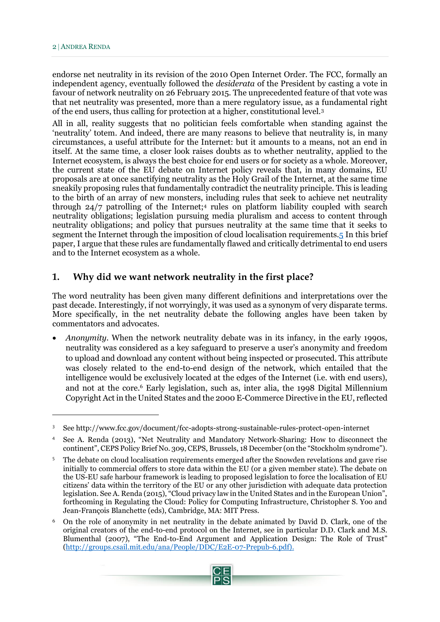endorse net neutrality in its revision of the 2010 Open Internet Order. The FCC, formally an independent agency, eventually followed the *desiderata* of the President by casting a vote in favour of network neutrality on 26 February 2015. The unprecedented feature of that vote was that net neutrality was presented, more than a mere regulatory issue, as a fundamental right of the end users, thus calling for protection at a higher, constitutional level.<sup>3</sup>

All in all, reality suggests that no politician feels comfortable when standing against the 'neutrality' totem. And indeed, there are many reasons to believe that neutrality is, in many circumstances, a useful attribute for the Internet: but it amounts to a means, not an end in itself. At the same time, a closer look raises doubts as to whether neutrality, applied to the Internet ecosystem, is always the best choice for end users or for society as a whole. Moreover, the current state of the EU debate on Internet policy reveals that, in many domains, EU proposals are at once sanctifying neutrality as the Holy Grail of the Internet, at the same time sneakily proposing rules that fundamentally contradict the neutrality principle. This is leading to the birth of an array of new monsters, including rules that seek to achieve net neutrality through 24/7 patrolling of the Internet;<sup>4</sup> rules on platform liability coupled with search neutrality obligations; legislation pursuing media pluralism and access to content through neutrality obligations; and policy that pursues neutrality at the same time that it seeks to segment the Internet through the imposition of cloud localisation requirements.5 In this brief paper, I argue that these rules are fundamentally flawed and critically detrimental to end users and to the Internet ecosystem as a whole.

#### <span id="page-3-0"></span>**1. Why did we want network neutrality in the first place?**

The word neutrality has been given many different definitions and interpretations over the past decade. Interestingly, if not worryingly, it was used as a synonym of very disparate terms. More specifically, in the net neutrality debate the following angles have been taken by commentators and advocates.

 *Anonymity.* When the network neutrality debate was in its infancy, in the early 1990s, neutrality was considered as a key safeguard to preserve a user's anonymity and freedom to upload and download any content without being inspected or prosecuted. This attribute was closely related to the end-to-end design of the network, which entailed that the intelligence would be exclusively located at the edges of the Internet (i.e. with end users), and not at the core.<sup>6</sup> Early legislation, such as, inter alia, the 1998 Digital Millennium Copyright Act in the United States and the 2000 E-Commerce Directive in the EU, reflected

<sup>6</sup> On the role of anonymity in net neutrality in the debate animated by David D. Clark, one of the original creators of the end-to-end protocol on the Internet, see in particular D.D. Clark and M.S. Blumenthal (2007), "The End-to-End Argument and Application Design: The Role of Trust" [\(http://groups.csail.mit.edu/ana/People/DDC/E2E-07-Prepub-6.pdf\)](http://groups.csail.mit.edu/ana/People/DDC/E2E-07-Prepub-6.pdf).



<sup>3</sup> See<http://www.fcc.gov/document/fcc-adopts-strong-sustainable-rules-protect-open-internet>

<sup>4</sup> See A. Renda (2013), "Net Neutrality and Mandatory Network-Sharing: How to disconnect the continent", CEPS Policy Brief No. 309, CEPS, Brussels, 18 December (on the "Stockholm syndrome").

<sup>5</sup> The debate on cloud localisation requirements emerged after the Snowden revelations and gave rise initially to commercial offers to store data within the EU (or a given member state). The debate on the US-EU safe harbour framework is leading to proposed legislation to force the localisation of EU citizens' data within the territory of the EU or any other jurisdiction with adequate data protection legislation. See A. Renda (2015), "Cloud privacy law in the United States and in the European Union", forthcoming in Regulating the Cloud: Policy for Computing Infrastructure, Christopher S. Yoo and Jean-François Blanchette (eds), Cambridge, MA: MIT Press.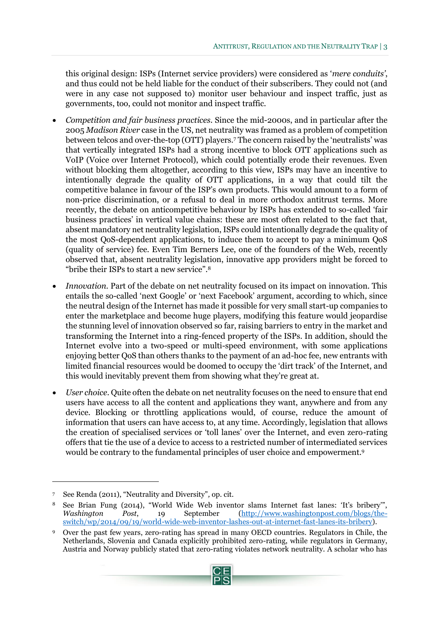this original design: ISPs (Internet service providers) were considered as '*mere conduits'*, and thus could not be held liable for the conduct of their subscribers. They could not (and were in any case not supposed to) monitor user behaviour and inspect traffic, just as governments, too, could not monitor and inspect traffic.

- *Competition and fair business practices.* Since the mid-2000s, and in particular after the 2005 *Madison River* case in the US, net neutrality was framed as a problem of competition between telcos and over-the-top (OTT) players.<sup>7</sup> The concern raised by the 'neutralists' was that vertically integrated ISPs had a strong incentive to block OTT applications such as VoIP (Voice over Internet Protocol), which could potentially erode their revenues. Even without blocking them altogether, according to this view, ISPs may have an incentive to intentionally degrade the quality of OTT applications, in a way that could tilt the competitive balance in favour of the ISP's own products. This would amount to a form of non-price discrimination, or a refusal to deal in more orthodox antitrust terms. More recently, the debate on anticompetitive behaviour by ISPs has extended to so-called 'fair business practices' in vertical value chains: these are most often related to the fact that, absent mandatory net neutrality legislation, ISPs could intentionally degrade the quality of the most QoS-dependent applications, to induce them to accept to pay a minimum QoS (quality of service) fee. Even Tim Berners Lee, one of the founders of the Web, recently observed that, absent neutrality legislation, innovative app providers might be forced to "bribe their ISPs to start a new service".<sup>8</sup>
- *Innovation*. Part of the debate on net neutrality focused on its impact on innovation. This entails the so-called 'next Google' or 'next Facebook' argument, according to which, since the neutral design of the Internet has made it possible for very small start-up companies to enter the marketplace and become huge players, modifying this feature would jeopardise the stunning level of innovation observed so far, raising barriers to entry in the market and transforming the Internet into a ring-fenced property of the ISPs. In addition, should the Internet evolve into a two-speed or multi-speed environment, with some applications enjoying better QoS than others thanks to the payment of an ad-hoc fee, new entrants with limited financial resources would be doomed to occupy the 'dirt track' of the Internet, and this would inevitably prevent them from showing what they're great at.
- *User choice*. Quite often the debate on net neutrality focuses on the need to ensure that end users have access to all the content and applications they want, anywhere and from any device. Blocking or throttling applications would, of course, reduce the amount of information that users can have access to, at any time. Accordingly, legislation that allows the creation of specialised services or 'toll lanes' over the Internet, and even zero-rating offers that tie the use of a device to access to a restricted number of intermediated services would be contrary to the fundamental principles of user choice and empowerment.<sup>9</sup>

<sup>9</sup> Over the past few years, zero-rating has spread in many OECD countries. Regulators in Chile, the Netherlands, Slovenia and Canada explicitly prohibited zero-rating, while regulators in Germany, Austria and Norway publicly stated that zero-rating violates network neutrality. A scholar who has



<sup>7</sup> See Renda (2011), "Neutrality and Diversity"*,* op. cit.

<sup>8</sup> See Brian Fung (2014), "World Wide Web inventor slams Internet fast lanes: 'It's bribery'", *Washington Post*, 19 September [\(http://www.washingtonpost.com/blogs/the](http://www.washingtonpost.com/blogs/the-switch/wp/2014/09/19/world-wide-web-inventor-lashes-out-at-internet-fast-lanes-its-bribery)[switch/wp/2014/09/19/world-wide-web-inventor-lashes-out-at-internet-fast-lanes-its-bribery\)](http://www.washingtonpost.com/blogs/the-switch/wp/2014/09/19/world-wide-web-inventor-lashes-out-at-internet-fast-lanes-its-bribery).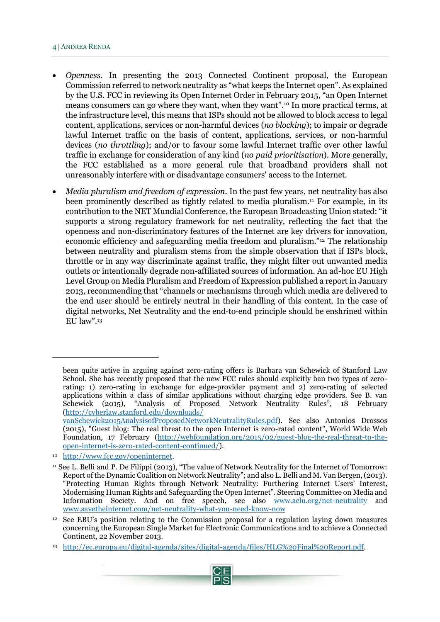#### 4 ANDREA RENDA

- *Openness.* In presenting the 2013 Connected Continent proposal, the European Commission referred to network neutrality as "what keeps the Internet open". As explained by the U.S. FCC in reviewing its Open Internet Order in February 2015, "an Open Internet means consumers can go where they want, when they want".<sup>10</sup> In more practical terms, at the infrastructure level, this means that ISPs should not be allowed to block access to legal content, applications, services or non-harmful devices (*no blocking*); to impair or degrade lawful Internet traffic on the basis of content, applications, services, or non-harmful devices (*no throttling*); and/or to favour some lawful Internet traffic over other lawful traffic in exchange for consideration of any kind (*no paid prioritisation*). More generally, the FCC established as a more general rule that broadband providers shall not unreasonably interfere with or disadvantage consumers' access to the Internet.
- *Media pluralism and freedom of expression*. In the past few years, net neutrality has also been prominently described as tightly related to media pluralism.<sup>11</sup> For example, in its contribution to the NET Mundial Conference, the European Broadcasting Union stated: "it supports a strong regulatory framework for net neutrality, reflecting the fact that the openness and non-discriminatory features of the Internet are key drivers for innovation, economic efficiency and safeguarding media freedom and pluralism."<sup>12</sup> The relationship between neutrality and pluralism stems from the simple observation that if ISPs block, throttle or in any way discriminate against traffic, they might filter out unwanted media outlets or intentionally degrade non-affiliated sources of information. An ad-hoc EU High Level Group on Media Pluralism and Freedom of Expression published a report in January 2013, recommending that "channels or mechanisms through which media are delivered to the end user should be entirely neutral in their handling of this content. In the case of digital networks, Net Neutrality and the end‐to‐end principle should be enshrined within EU law" $13$

been quite active in arguing against zero-rating offers is Barbara van Schewick of Stanford Law School. She has recently proposed that the new FCC rules should explicitly ban two types of zerorating: 1) zero-rating in exchange for edge-provider payment and 2) zero-rating of selected applications within a class of similar applications without charging edge providers. See B. van Schewick (2015), "Analysis of Proposed Network Neutrality Rules", 18 February [\(http://cyberlaw.stanford.edu/downloads/](http://cyberlaw.stanford.edu/downloads/%20vanSchewick2015AnalysisofProposedNetworkNeutralityRules.pdf) 

[vanSchewick2015AnalysisofProposedNetworkNeutralityRules.pdf\)](http://cyberlaw.stanford.edu/downloads/%20vanSchewick2015AnalysisofProposedNetworkNeutralityRules.pdf). See also Antonios Drossos (2015), "Guest blog: The real threat to the open Internet is zero-rated content", World Wide Web Foundation, 17 February [\(http://webfoundation.org/2015/02/guest-blog-the-real-threat-to-the](http://webfoundation.org/2015/02/guest-blog-the-real-threat-to-the-open-internet-is-zero-rated-content-continued/)[open-internet-is-zero-rated-content-continued/\)](http://webfoundation.org/2015/02/guest-blog-the-real-threat-to-the-open-internet-is-zero-rated-content-continued/).

<sup>10</sup> [http://www.fcc.gov/openinternet.](http://www.fcc.gov/openinternet)

<sup>11</sup> See L. Belli and P. De Filippi (2013), "The value of Network Neutrality for the Internet of Tomorrow: Report of the Dynamic Coalition on Network Neutrality"; and also L. Belli and M. Van Bergen, (2013). "Protecting Human Rights through Network Neutrality: Furthering Internet Users' Interest, Modernising Human Rights and Safeguarding the Open Internet". Steering Committee on Media and Information Society. And on free speech, see also [www.aclu.org/net-neutrality](http://www.aclu.org/net-neutrality) and [www.savetheinternet.com/net-neutrality-what-you-need-know-now](http://www.savetheinternet.com/net-neutrality-what-you-need-know-now)

<sup>12</sup> See EBU's position relating to the Commission proposal for a regulation laying down measures concerning the European Single Market for Electronic Communications and to achieve a Connected Continent, 22 November 2013.

<sup>13</sup> [http://ec.europa.eu/digital-agenda/sites/digital-agenda/files/HLG%20Final%20Report.pdf.](http://ec.europa.eu/digital-agenda/sites/digital-agenda/files/HLG%20Final%20Report.pdf)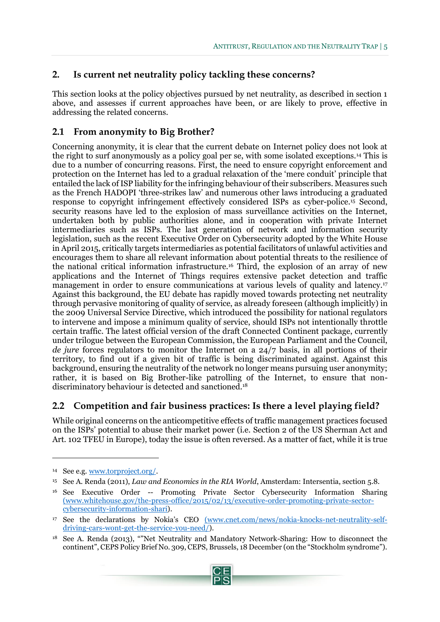## <span id="page-6-0"></span>**2. Is current net neutrality policy tackling these concerns?**

This section looks at the policy objectives pursued by net neutrality, as described in section 1 above, and assesses if current approaches have been, or are likely to prove, effective in addressing the related concerns.

## <span id="page-6-1"></span>**2.1 From anonymity to Big Brother?**

Concerning anonymity, it is clear that the current debate on Internet policy does not look at the right to surf anonymously as a policy goal per se, with some isolated exceptions.<sup>14</sup> This is due to a number of concurring reasons. First, the need to ensure copyright enforcement and protection on the Internet has led to a gradual relaxation of the 'mere conduit' principle that entailed the lack of ISP liability for the infringing behaviour of their subscribers. Measures such as the French HADOPI 'three-strikes law' and numerous other laws introducing a graduated response to copyright infringement effectively considered ISPs as cyber-police.<sup>15</sup> Second, security reasons have led to the explosion of mass surveillance activities on the Internet, undertaken both by public authorities alone, and in cooperation with private Internet intermediaries such as ISPs. The last generation of network and information security legislation, such as the recent Executive Order on Cybersecurity adopted by the White House in April 2015, critically targets intermediaries as potential facilitators of unlawful activities and encourages them to share all relevant information about potential threats to the resilience of the national critical information infrastructure.<sup>16</sup> Third, the explosion of an array of new applications and the Internet of Things requires extensive packet detection and traffic management in order to ensure communications at various levels of quality and latency.<sup>17</sup> Against this background, the EU debate has rapidly moved towards protecting net neutrality through pervasive monitoring of quality of service, as already foreseen (although implicitly) in the 2009 Universal Service Directive, which introduced the possibility for national regulators to intervene and impose a minimum quality of service, should ISPs not intentionally throttle certain traffic. The latest official version of the draft Connected Continent package, currently under trilogue between the European Commission, the European Parliament and the Council, *de jure* forces regulators to monitor the Internet on a 24/7 basis, in all portions of their territory, to find out if a given bit of traffic is being discriminated against. Against this background, ensuring the neutrality of the network no longer means pursuing user anonymity; rather, it is based on Big Brother-like patrolling of the Internet, to ensure that nondiscriminatory behaviour is detected and sanctioned.<sup>18</sup>

## <span id="page-6-2"></span>**2.2 Competition and fair business practices: Is there a level playing field?**

While original concerns on the anticompetitive effects of traffic management practices focused on the ISPs' potential to abuse their market power (i.e. Section 2 of the US Sherman Act and Art. 102 TFEU in Europe), today the issue is often reversed. As a matter of fact, while it is true

 $\ddot{\phantom{a}}$ 

<sup>18</sup> See A. Renda (2013), ""Net Neutrality and Mandatory Network-Sharing: How to disconnect the continent", CEPS Policy Brief No. 309, CEPS, Brussels, 18 December (on the "Stockholm syndrome").



<sup>14</sup> See e.g*.* [www.torproject.org/.](http://www.torproject.org/)

<sup>15</sup> See A. Renda (2011), *Law and Economics in the RIA World*, Amsterdam: Intersentia, section 5.8.

<sup>16</sup> See Executive Order -- Promoting Private Sector Cybersecurity Information Sharing [\(www.whitehouse.gov/the-press-office/2015/02/13/executive-order-promoting-private-sector](http://(www.whitehouse.gov/the-press-office/2015/02/13/executive-order-promoting-private-sector-cybersecurity-information-shari)[cybersecurity-information-shari\)](http://(www.whitehouse.gov/the-press-office/2015/02/13/executive-order-promoting-private-sector-cybersecurity-information-shari).

<sup>17</sup> See the declarations by Nokia's CEO [\(www.cnet.com/news/nokia-knocks-net-neutrality-self](http://(www.cnet.com/news/nokia-knocks-net-neutrality-self-driving-cars-wont-get-the-service-you-need/)[driving-cars-wont-get-the-service-you-need/\)](http://(www.cnet.com/news/nokia-knocks-net-neutrality-self-driving-cars-wont-get-the-service-you-need/).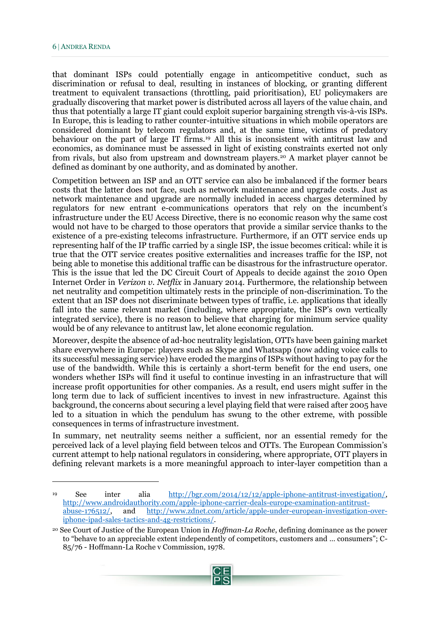that dominant ISPs could potentially engage in anticompetitive conduct, such as discrimination or refusal to deal, resulting in instances of blocking, or granting different treatment to equivalent transactions (throttling, paid prioritisation), EU policymakers are gradually discovering that market power is distributed across all layers of the value chain, and thus that potentially a large IT giant could exploit superior bargaining strength vis-à-vis ISPs. In Europe, this is leading to rather counter-intuitive situations in which mobile operators are considered dominant by telecom regulators and, at the same time, victims of predatory behaviour on the part of large IT firms.<sup>19</sup> All this is inconsistent with antitrust law and economics, as dominance must be assessed in light of existing constraints exerted not only from rivals, but also from upstream and downstream players.<sup>20</sup> A market player cannot be defined as dominant by one authority, and as dominated by another.

Competition between an ISP and an OTT service can also be imbalanced if the former bears costs that the latter does not face, such as network maintenance and upgrade costs. Just as network maintenance and upgrade are normally included in access charges determined by regulators for new entrant e-communications operators that rely on the incumbent's infrastructure under the EU Access Directive, there is no economic reason why the same cost would not have to be charged to those operators that provide a similar service thanks to the existence of a pre-existing telecoms infrastructure. Furthermore, if an OTT service ends up representing half of the IP traffic carried by a single ISP, the issue becomes critical: while it is true that the OTT service creates positive externalities and increases traffic for the ISP, not being able to monetise this additional traffic can be disastrous for the infrastructure operator. This is the issue that led the DC Circuit Court of Appeals to decide against the 2010 Open Internet Order in *Verizon v. Netflix* in January 2014. Furthermore, the relationship between net neutrality and competition ultimately rests in the principle of non-discrimination. To the extent that an ISP does not discriminate between types of traffic, i.e. applications that ideally fall into the same relevant market (including, where appropriate, the ISP's own vertically integrated service), there is no reason to believe that charging for minimum service quality would be of any relevance to antitrust law, let alone economic regulation.

Moreover, despite the absence of ad-hoc neutrality legislation, OTTs have been gaining market share everywhere in Europe: players such as Skype and Whatsapp (now adding voice calls to its successful messaging service) have eroded the margins of ISPs without having to pay for the use of the bandwidth. While this is certainly a short-term benefit for the end users, one wonders whether ISPs will find it useful to continue investing in an infrastructure that will increase profit opportunities for other companies. As a result, end users might suffer in the long term due to lack of sufficient incentives to invest in new infrastructure. Against this background, the concerns about securing a level playing field that were raised after 2005 have led to a situation in which the pendulum has swung to the other extreme, with possible consequences in terms of infrastructure investment.

In summary, net neutrality seems neither a sufficient, nor an essential remedy for the perceived lack of a level playing field between telcos and OTTs. The European Commission's current attempt to help national regulators in considering, where appropriate, OTT players in defining relevant markets is a more meaningful approach to inter-layer competition than a

<sup>20</sup> See Court of Justice of the European Union in *Hoffman-La Roche*, defining dominance as the power to "behave to an appreciable extent independently of competitors, customers and … consumers"; C-85/76 - Hoffmann-La Roche v Commission, 1978.



<sup>19</sup> See inter alia [http://bgr.com/2014/12/12/apple-iphone-antitrust-investigation/,](http://bgr.com/2014/12/12/apple-iphone-antitrust-investigation/) http://www.androidauthority.com/apple-iphone-carrier-deals-europe-examination-antitrust-<br>abuse-176512/, and http://www.zdnet.com/article/apple-under-european-investigationand [http://www.zdnet.com/article/apple-under-european-investigation-over](http://www.zdnet.com/article/apple-under-european-investigation-over-iphone-ipad-sales-tactics-and-4g-restrictions/)[iphone-ipad-sales-tactics-and-4g-restrictions/.](http://www.zdnet.com/article/apple-under-european-investigation-over-iphone-ipad-sales-tactics-and-4g-restrictions/)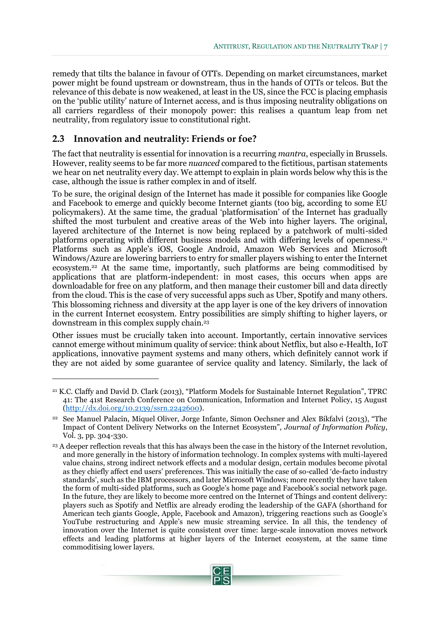remedy that tilts the balance in favour of OTTs. Depending on market circumstances, market power might be found upstream or downstream, thus in the hands of OTTs or telcos. But the relevance of this debate is now weakened, at least in the US, since the FCC is placing emphasis on the 'public utility' nature of Internet access, and is thus imposing neutrality obligations on all carriers regardless of their monopoly power: this realises a quantum leap from net neutrality, from regulatory issue to constitutional right.

#### <span id="page-8-0"></span>**2.3 Innovation and neutrality: Friends or foe?**

 $\overline{a}$ 

The fact that neutrality is essential for innovation is a recurring *mantra*, especially in Brussels. However, reality seems to be far more *nuanced* compared to the fictitious, partisan statements we hear on net neutrality every day. We attempt to explain in plain words below why this is the case, although the issue is rather complex in and of itself.

To be sure, the original design of the Internet has made it possible for companies like Google and Facebook to emerge and quickly become Internet giants (too big, according to some EU policymakers). At the same time, the gradual 'platformisation' of the Internet has gradually shifted the most turbulent and creative areas of the Web into higher layers. The original, layered architecture of the Internet is now being replaced by a patchwork of multi-sided platforms operating with different business models and with differing levels of openness.<sup>21</sup> Platforms such as Apple's iOS, Google Android, Amazon Web Services and Microsoft Windows/Azure are lowering barriers to entry for smaller players wishing to enter the Internet ecosystem.<sup>22</sup> At the same time, importantly, such platforms are being commoditised by applications that are platform-independent: in most cases, this occurs when apps are downloadable for free on any platform, and then manage their customer bill and data directly from the cloud. This is the case of very successful apps such as Uber, Spotify and many others. This blossoming richness and diversity at the app layer is one of the key drivers of innovation in the current Internet ecosystem. Entry possibilities are simply shifting to higher layers, or downstream in this complex supply chain.<sup>23</sup>

Other issues must be crucially taken into account. Importantly, certain innovative services cannot emerge without minimum quality of service: think about Netflix, but also e-Health, IoT applications, innovative payment systems and many others, which definitely cannot work if they are not aided by some guarantee of service quality and latency. Similarly, the lack of

<sup>23</sup> A deeper reflection reveals that this has always been the case in the history of the Internet revolution, and more generally in the history of information technology. In complex systems with multi-layered value chains, strong indirect network effects and a modular design, certain modules become pivotal as they chiefly affect end users' preferences. This was initially the case of so-called 'de-facto industry standards', such as the IBM processors, and later Microsoft Windows; more recently they have taken the form of multi-sided platforms, such as Google's home page and Facebook's social network page. In the future, they are likely to become more centred on the Internet of Things and content delivery: players such as Spotify and Netflix are already eroding the leadership of the GAFA (shorthand for American tech giants Google, Apple, Facebook and Amazon), triggering reactions such as Google's YouTube restructuring and Apple's new music streaming service. In all this, the tendency of innovation over the Internet is quite consistent over time: large-scale innovation moves network effects and leading platforms at higher layers of the Internet ecosystem, at the same time commoditising lower layers.



<sup>21</sup> K.C. Claffy and David D. Clark (2013), "Platform Models for Sustainable Internet Regulation", TPRC 41: The 41st Research Conference on Communication, Information and Internet Policy, 15 August [\(http://dx.doi.org/10.2139/ssrn.2242600\)](http://dx.doi.org/10.2139/ssrn.2242600).

<sup>22</sup> See Manuel Palacin, Miquel Oliver, Jorge Infante, Simon Oechsner and Alex Bikfalvi (2013), "The Impact of Content Delivery Networks on the Internet Ecosystem", *Journal of Information Policy*, Vol. 3, pp. 304-330.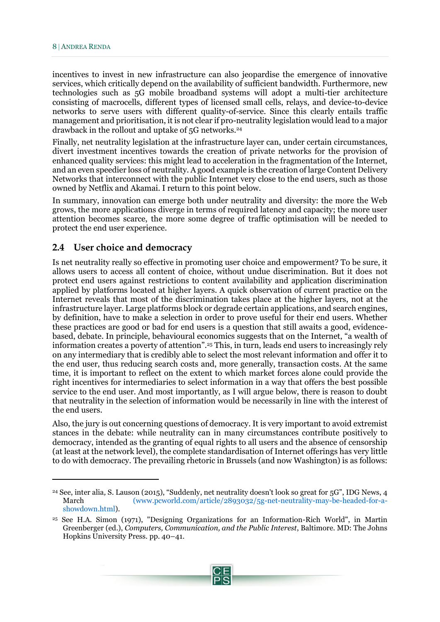incentives to invest in new infrastructure can also jeopardise the emergence of innovative services, which critically depend on the availability of sufficient bandwidth. Furthermore, new technologies such as 5G mobile broadband systems will adopt a multi-tier architecture consisting of macrocells, different types of licensed small cells, relays, and device-to-device networks to serve users with different quality-of-service. Since this clearly entails traffic management and prioritisation, it is not clear if pro-neutrality legislation would lead to a major drawback in the rollout and uptake of 5G networks.<sup>24</sup>

Finally, net neutrality legislation at the infrastructure layer can, under certain circumstances, divert investment incentives towards the creation of private networks for the provision of enhanced quality services: this might lead to acceleration in the fragmentation of the Internet, and an even speedier loss of neutrality. A good example is the creation of large Content Delivery Networks that interconnect with the public Internet very close to the end users, such as those owned by Netflix and Akamai. I return to this point below.

In summary, innovation can emerge both under neutrality and diversity: the more the Web grows, the more applications diverge in terms of required latency and capacity; the more user attention becomes scarce, the more some degree of traffic optimisation will be needed to protect the end user experience.

#### <span id="page-9-0"></span>**2.4 User choice and democracy**

Is net neutrality really so effective in promoting user choice and empowerment? To be sure, it allows users to access all content of choice, without undue discrimination. But it does not protect end users against restrictions to content availability and application discrimination applied by platforms located at higher layers. A quick observation of current practice on the Internet reveals that most of the discrimination takes place at the higher layers, not at the infrastructure layer. Large platforms block or degrade certain applications, and search engines, by definition, have to make a selection in order to prove useful for their end users. Whether these practices are good or bad for end users is a question that still awaits a good, evidencebased, debate. In principle, behavioural economics suggests that on the Internet, "a wealth of information creates a poverty of attention".<sup>25</sup> This, in turn, leads end users to increasingly rely on any intermediary that is credibly able to select the most relevant information and offer it to the end user, thus reducing search costs and, more generally, transaction costs. At the same time, it is important to reflect on the extent to which market forces alone could provide the right incentives for intermediaries to select information in a way that offers the best possible service to the end user. And most importantly, as I will argue below, there is reason to doubt that neutrality in the selection of information would be necessarily in line with the interest of the end users.

Also, the jury is out concerning questions of democracy. It is very important to avoid extremist stances in the debate: while neutrality can in many circumstances contribute positively to democracy, intended as the granting of equal rights to all users and the absence of censorship (at least at the network level), the complete standardisation of Internet offerings has very little to do with democracy. The prevailing rhetoric in Brussels (and now Washington) is as follows:

<sup>24</sup> See, inter alia*,* S. Lauson (2015), "Suddenly, net neutrality doesn't look so great for 5G", IDG News, 4 March (www.pcworld.com/article/2893032/5g-net-neutrality-may-be-headed-for-ashowdown.html).

<sup>25</sup> See H.A. Simon (1971), "Designing Organizations for an Information-Rich World", in Martin Greenberger (ed.), *Computers, Communication, and the Public Interest*, Baltimore. MD: The Johns Hopkins University Press. pp. 40–41.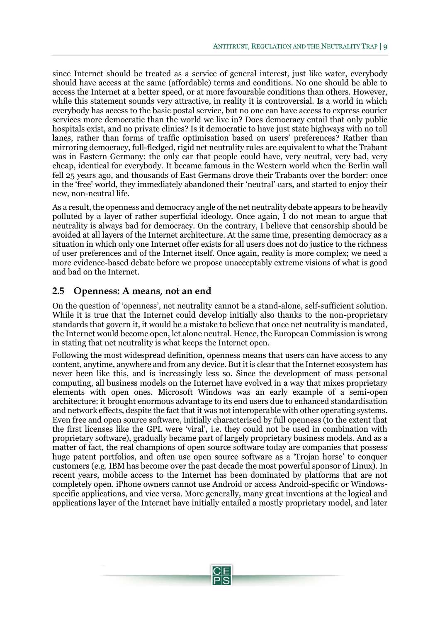since Internet should be treated as a service of general interest, just like water, everybody should have access at the same (affordable) terms and conditions. No one should be able to access the Internet at a better speed, or at more favourable conditions than others. However, while this statement sounds very attractive, in reality it is controversial. Is a world in which everybody has access to the basic postal service, but no one can have access to express courier services more democratic than the world we live in? Does democracy entail that only public hospitals exist, and no private clinics? Is it democratic to have just state highways with no toll lanes, rather than forms of traffic optimisation based on users' preferences? Rather than mirroring democracy, full-fledged, rigid net neutrality rules are equivalent to what the Trabant was in Eastern Germany: the only car that people could have, very neutral, very bad, very cheap, identical for everybody. It became famous in the Western world when the Berlin wall fell 25 years ago, and thousands of East Germans drove their Trabants over the border: once in the 'free' world, they immediately abandoned their 'neutral' cars, and started to enjoy their new, non-neutral life.

As a result, the openness and democracy angle of the net neutrality debate appears to be heavily polluted by a layer of rather superficial ideology. Once again, I do not mean to argue that neutrality is always bad for democracy. On the contrary, I believe that censorship should be avoided at all layers of the Internet architecture. At the same time, presenting democracy as a situation in which only one Internet offer exists for all users does not do justice to the richness of user preferences and of the Internet itself. Once again, reality is more complex; we need a more evidence-based debate before we propose unacceptably extreme visions of what is good and bad on the Internet.

#### <span id="page-10-0"></span>**2.5 Openness: A means, not an end**

On the question of 'openness', net neutrality cannot be a stand-alone, self-sufficient solution. While it is true that the Internet could develop initially also thanks to the non-proprietary standards that govern it, it would be a mistake to believe that once net neutrality is mandated, the Internet would become open, let alone neutral. Hence, the European Commission is wrong in stating that net neutrality is what keeps the Internet open.

Following the most widespread definition, openness means that users can have access to any content, anytime, anywhere and from any device. But it is clear that the Internet ecosystem has never been like this, and is increasingly less so. Since the development of mass personal computing, all business models on the Internet have evolved in a way that mixes proprietary elements with open ones. Microsoft Windows was an early example of a semi-open architecture: it brought enormous advantage to its end users due to enhanced standardisation and network effects, despite the fact that it was not interoperable with other operating systems. Even free and open source software, initially characterised by full openness (to the extent that the first licenses like the GPL were 'viral', i.e. they could not be used in combination with proprietary software), gradually became part of largely proprietary business models. And as a matter of fact, the real champions of open source software today are companies that possess huge patent portfolios, and often use open source software as a 'Trojan horse' to conquer customers (e.g. IBM has become over the past decade the most powerful sponsor of Linux). In recent years, mobile access to the Internet has been dominated by platforms that are not completely open. iPhone owners cannot use Android or access Android-specific or Windowsspecific applications, and vice versa. More generally, many great inventions at the logical and applications layer of the Internet have initially entailed a mostly proprietary model, and later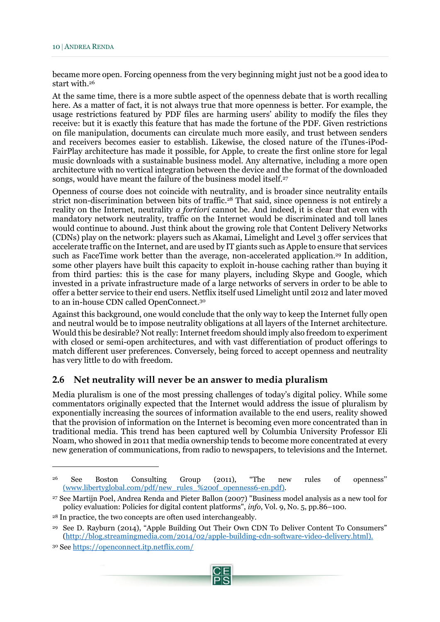became more open. Forcing openness from the very beginning might just not be a good idea to start with.<sup>26</sup>

At the same time, there is a more subtle aspect of the openness debate that is worth recalling here. As a matter of fact, it is not always true that more openness is better. For example, the usage restrictions featured by PDF files are harming users' ability to modify the files they receive: but it is exactly this feature that has made the fortune of the PDF. Given restrictions on file manipulation, documents can circulate much more easily, and trust between senders and receivers becomes easier to establish. Likewise, the closed nature of the iTunes-iPod-FairPlay architecture has made it possible, for Apple, to create the first online store for legal music downloads with a sustainable business model. Any alternative, including a more open architecture with no vertical integration between the device and the format of the downloaded songs, would have meant the failure of the business model itself.<sup>27</sup>

Openness of course does not coincide with neutrality, and is broader since neutrality entails strict non-discrimination between bits of traffic.<sup>28</sup> That said, since openness is not entirely a reality on the Internet, neutrality *a fortiori* cannot be. And indeed, it is clear that even with mandatory network neutrality, traffic on the Internet would be discriminated and toll lanes would continue to abound. Just think about the growing role that Content Delivery Networks (CDNs) play on the network: players such as Akamai, Limelight and Level 3 offer services that accelerate traffic on the Internet, and are used by IT giants such as Apple to ensure that services such as FaceTime work better than the average, non-accelerated application.<sup>29</sup> In addition, some other players have built this capacity to exploit in-house caching rather than buying it from third parties: this is the case for many players, including Skype and Google, which invested in a private infrastructure made of a large networks of servers in order to be able to offer a better service to their end users. Netflix itself used Limelight until 2012 and later moved to an in-house CDN called OpenConnect.<sup>30</sup>

Against this background, one would conclude that the only way to keep the Internet fully open and neutral would be to impose neutrality obligations at all layers of the Internet architecture. Would this be desirable? Not really: Internet freedom should imply also freedom to experiment with closed or semi-open architectures, and with vast differentiation of product offerings to match different user preferences. Conversely, being forced to accept openness and neutrality has very little to do with freedom.

#### <span id="page-11-0"></span>**2.6 Net neutrality will never be an answer to media pluralism**

Media pluralism is one of the most pressing challenges of today's digital policy. While some commentators originally expected that the Internet would address the issue of pluralism by exponentially increasing the sources of information available to the end users, reality showed that the provision of information on the Internet is becoming even more concentrated than in traditional media. This trend has been captured well by Columbia University Professor Eli Noam, who showed in 2011 that media ownership tends to become more concentrated at every new generation of communications, from radio to newspapers, to televisions and the Internet.

<sup>26</sup> See Boston Consulting Group (2011), "The new rules of openness'' [\(www.libertyglobal.com/pdf/new\\_rules\\_%20of\\_openness6-en.pdf\)](http://(www.libertyglobal.com/pdf/new_rules_%20of_openness6-en.pdf).

<sup>27</sup> See Martijn Poel, Andrea Renda and Pieter Ballon (2007) "Business model analysis as a new tool for policy evaluation: Policies for digital content platforms", *info*, Vol. 9, No. 5, pp.86–100.

<sup>28</sup> In practice, the two concepts are often used interchangeably.

<sup>29</sup> See D. Rayburn (2014), "Apple Building Out Their Own CDN To Deliver Content To Consumers" [\(http://blog.streamingmedia.com/2014/02/apple-building-cdn-software-video-delivery.html\)](http://blog.streamingmedia.com/2014/02/apple-building-cdn-software-video-delivery.html).

<sup>30</sup> Se[e https://openconnect.itp.netflix.com/](https://openconnect.itp.netflix.com/)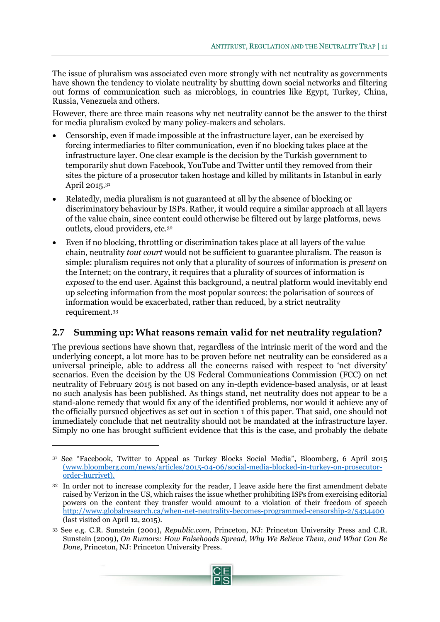The issue of pluralism was associated even more strongly with net neutrality as governments have shown the tendency to violate neutrality by shutting down social networks and filtering out forms of communication such as microblogs, in countries like Egypt, Turkey, China, Russia, Venezuela and others.

However, there are three main reasons why net neutrality cannot be the answer to the thirst for media pluralism evoked by many policy-makers and scholars.

- Censorship, even if made impossible at the infrastructure layer, can be exercised by forcing intermediaries to filter communication, even if no blocking takes place at the infrastructure layer. One clear example is the decision by the Turkish government to temporarily shut down Facebook, YouTube and Twitter until they removed from their sites the picture of a prosecutor taken hostage and killed by militants in Istanbul in early April 2015.<sup>31</sup>
- Relatedly, media pluralism is not guaranteed at all by the absence of blocking or discriminatory behaviour by ISPs. Rather, it would require a similar approach at all layers of the value chain, since content could otherwise be filtered out by large platforms, news outlets, cloud providers, etc.<sup>32</sup>
- Even if no blocking, throttling or discrimination takes place at all layers of the value chain, neutrality *tout court* would not be sufficient to guarantee pluralism. The reason is simple: pluralism requires not only that a plurality of sources of information is *present* on the Internet; on the contrary, it requires that a plurality of sources of information is *exposed* to the end user. Against this background, a neutral platform would inevitably end up selecting information from the most popular sources: the polarisation of sources of information would be exacerbated, rather than reduced, by a strict neutrality requirement.<sup>33</sup>

#### <span id="page-12-0"></span>**2.7 Summing up: What reasons remain valid for net neutrality regulation?**

The previous sections have shown that, regardless of the intrinsic merit of the word and the underlying concept, a lot more has to be proven before net neutrality can be considered as a universal principle, able to address all the concerns raised with respect to 'net diversity' scenarios. Even the decision by the US Federal Communications Commission (FCC) on net neutrality of February 2015 is not based on any in-depth evidence-based analysis, or at least no such analysis has been published. As things stand, net neutrality does not appear to be a stand-alone remedy that would fix any of the identified problems, nor would it achieve any of the officially pursued objectives as set out in section 1 of this paper. That said, one should not immediately conclude that net neutrality should not be mandated at the infrastructure layer. Simply no one has brought sufficient evidence that this is the case, and probably the debate

<sup>33</sup> See e.g. C.R. Sunstein (2001), *Republic.com*, Princeton, NJ: Princeton University Press and C.R. Sunstein (2009), *On Rumors: How Falsehoods Spread, Why We Believe Them, and What Can Be Done*, Princeton, NJ: Princeton University Press.



<sup>31</sup> See "Facebook, Twitter to Appeal as Turkey Blocks Social Media", Bloomberg, 6 April 2015 [\(www.bloomberg.com/news/articles/2015-04-06/social-media-blocked-in-turkey-on-prosecutor](http://(www.bloomberg.com/news/articles/2015-04-06/social-media-blocked-in-turkey-on-prosecutor-order-hurriyet)[order-hurriyet\)](http://(www.bloomberg.com/news/articles/2015-04-06/social-media-blocked-in-turkey-on-prosecutor-order-hurriyet).

<sup>&</sup>lt;sup>32</sup> In order not to increase complexity for the reader, I leave aside here the first amendment debate raised by Verizon in the US, which raises the issue whether prohibiting ISPs from exercising editorial powers on the content they transfer would amount to a violation of their freedom of speech <http://www.globalresearch.ca/when-net-neutrality-becomes-programmed-censorship-2/5434400> (last visited on April 12, 2015).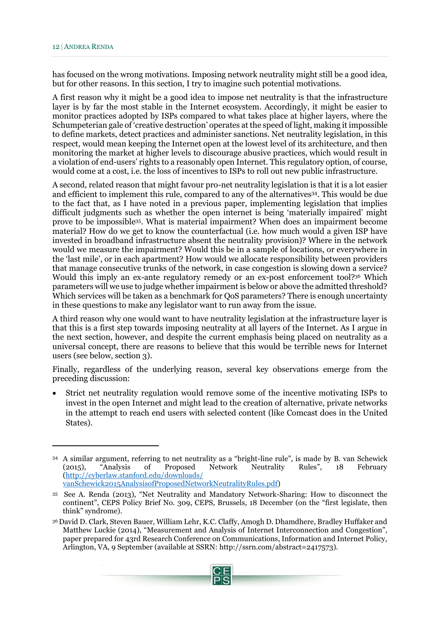has focused on the wrong motivations. Imposing network neutrality might still be a good idea, but for other reasons. In this section, I try to imagine such potential motivations.

A first reason why it might be a good idea to impose net neutrality is that the infrastructure layer is by far the most stable in the Internet ecosystem. Accordingly, it might be easier to monitor practices adopted by ISPs compared to what takes place at higher layers, where the Schumpeterian gale of 'creative destruction' operates at the speed of light, making it impossible to define markets, detect practices and administer sanctions. Net neutrality legislation, in this respect, would mean keeping the Internet open at the lowest level of its architecture, and then monitoring the market at higher levels to discourage abusive practices, which would result in a violation of end-users' rights to a reasonably open Internet. This regulatory option, of course, would come at a cost, i.e. the loss of incentives to ISPs to roll out new public infrastructure.

A second, related reason that might favour pro-net neutrality legislation is that it is a lot easier and efficient to implement this rule, compared to any of the alternatives34. This would be due to the fact that, as I have noted in a previous paper, implementing legislation that implies difficult judgments such as whether the open internet is being 'materially impaired' might prove to be impossible35. What is material impairment? When does an impairment become material? How do we get to know the counterfactual (i.e. how much would a given ISP have invested in broadband infrastructure absent the neutrality provision)? Where in the network would we measure the impairment? Would this be in a sample of locations, or everywhere in the 'last mile', or in each apartment? How would we allocate responsibility between providers that manage consecutive trunks of the network, in case congestion is slowing down a service? Would this imply an ex-ante regulatory remedy or an ex-post enforcement tool?<sup>36</sup> Which parameters will we use to judge whether impairment is below or above the admitted threshold? Which services will be taken as a benchmark for QoS parameters? There is enough uncertainty in these questions to make any legislator want to run away from the issue.

A third reason why one would want to have neutrality legislation at the infrastructure layer is that this is a first step towards imposing neutrality at all layers of the Internet. As I argue in the next section, however, and despite the current emphasis being placed on neutrality as a universal concept, there are reasons to believe that this would be terrible news for Internet users (see below, section 3).

Finally, regardless of the underlying reason, several key observations emerge from the preceding discussion:

 Strict net neutrality regulation would remove some of the incentive motivating ISPs to invest in the open Internet and might lead to the creation of alternative, private networks in the attempt to reach end users with selected content (like Comcast does in the United States).

<sup>36</sup> David D. Clark, Steven Bauer, William Lehr, K.C. Claffy, Amogh D. Dhamdhere, Bradley Huffaker and Matthew Luckie (2014), "Measurement and Analysis of Internet Interconnection and Congestion", paper prepared for 43rd Research Conference on Communications, Information and Internet Policy, Arlington, VA, 9 September (available at SSRN: [http://ssrn.com/abstract=2417573\)](http://ssrn.com/abstract=2417573).



<sup>34</sup> A similar argument, referring to net neutrality as a "bright-line rule", is made by B. van Schewick (2015), "Analysis of Proposed Network Neutrality Rules", 18 February [\(http://cyberlaw.stanford.edu/downloads/](http://cyberlaw.stanford.edu/downloads/%20vanSchewick2015AnalysisofProposedNetworkNeutralityRules.pdf)  [vanSchewick2015AnalysisofProposedNetworkNeutralityRules.pdf\)](http://cyberlaw.stanford.edu/downloads/%20vanSchewick2015AnalysisofProposedNetworkNeutralityRules.pdf)

<sup>35</sup> See A. Renda (2013), "Net Neutrality and Mandatory Network-Sharing: How to disconnect the continent", CEPS Policy Brief No. 309, CEPS, Brussels, 18 December (on the "first legislate, then think" syndrome).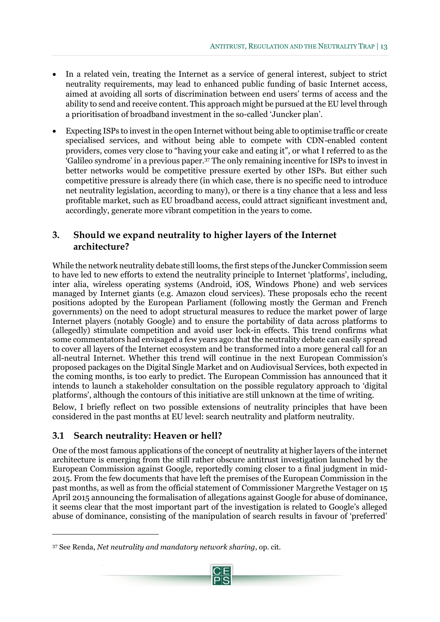- In a related vein, treating the Internet as a service of general interest, subject to strict neutrality requirements, may lead to enhanced public funding of basic Internet access, aimed at avoiding all sorts of discrimination between end users' terms of access and the ability to send and receive content. This approach might be pursued at the EU level through a prioritisation of broadband investment in the so-called 'Juncker plan'.
- Expecting ISPs to invest in the open Internet without being able to optimise traffic or create specialised services, and without being able to compete with CDN-enabled content providers, comes very close to "having your cake and eating it", or what I referred to as the 'Galileo syndrome' in a previous paper.<sup>37</sup> The only remaining incentive for ISPs to invest in better networks would be competitive pressure exerted by other ISPs. But either such competitive pressure is already there (in which case, there is no specific need to introduce net neutrality legislation, according to many), or there is a tiny chance that a less and less profitable market, such as EU broadband access, could attract significant investment and, accordingly, generate more vibrant competition in the years to come.

### <span id="page-14-0"></span>**3. Should we expand neutrality to higher layers of the Internet architecture?**

While the network neutrality debate still looms, the first steps of the Juncker Commission seem to have led to new efforts to extend the neutrality principle to Internet 'platforms', including, inter alia, wireless operating systems (Android, iOS, Windows Phone) and web services managed by Internet giants (e.g. Amazon cloud services). These proposals echo the recent positions adopted by the European Parliament (following mostly the German and French governments) on the need to adopt structural measures to reduce the market power of large Internet players (notably Google) and to ensure the portability of data across platforms to (allegedly) stimulate competition and avoid user lock-in effects. This trend confirms what some commentators had envisaged a few years ago: that the neutrality debate can easily spread to cover all layers of the Internet ecosystem and be transformed into a more general call for an all-neutral Internet. Whether this trend will continue in the next European Commission's proposed packages on the Digital Single Market and on Audiovisual Services, both expected in the coming months, is too early to predict. The European Commission has announced that it intends to launch a stakeholder consultation on the possible regulatory approach to 'digital platforms', although the contours of this initiative are still unknown at the time of writing.

Below, I briefly reflect on two possible extensions of neutrality principles that have been considered in the past months at EU level: search neutrality and platform neutrality.

### <span id="page-14-1"></span>**3.1 Search neutrality: Heaven or hell?**

 $\overline{a}$ 

One of the most famous applications of the concept of neutrality at higher layers of the internet architecture is emerging from the still rather obscure antitrust investigation launched by the European Commission against Google, reportedly coming closer to a final judgment in mid-2015. From the few documents that have left the premises of the European Commission in the past months, as well as from the official statement of Commissioner Margrethe Vestager on 15 April 2015 announcing the formalisation of allegations against Google for abuse of dominance, it seems clear that the most important part of the investigation is related to Google's alleged abuse of dominance, consisting of the manipulation of search results in favour of 'preferred'

<sup>37</sup> See Renda, *Net neutrality and mandatory network sharing*, op. cit*.* 

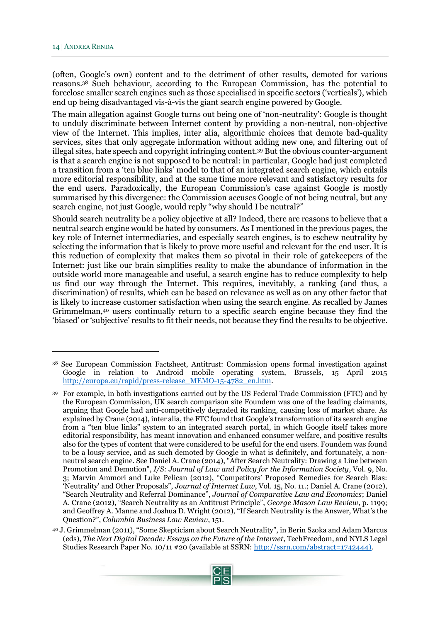(often, Google's own) content and to the detriment of other results, demoted for various reasons. <sup>38</sup> Such behaviour, according to the European Commission, has the potential to foreclose smaller search engines such as those specialised in specific sectors ('verticals'), which end up being disadvantaged vis-à-vis the giant search engine powered by Google.

The main allegation against Google turns out being one of 'non-neutrality': Google is thought to unduly discriminate between Internet content by providing a non-neutral, non-objective view of the Internet. This implies, inter alia, algorithmic choices that demote bad-quality services, sites that only aggregate information without adding new one, and filtering out of illegal sites, hate speech and copyright infringing content.<sup>39</sup> But the obvious counter-argument is that a search engine is not supposed to be neutral: in particular, Google had just completed a transition from a 'ten blue links' model to that of an integrated search engine, which entails more editorial responsibility, and at the same time more relevant and satisfactory results for the end users. Paradoxically, the European Commission's case against Google is mostly summarised by this divergence: the Commission accuses Google of not being neutral, but any search engine, not just Google, would reply "why should I be neutral?"

Should search neutrality be a policy objective at all? Indeed, there are reasons to believe that a neutral search engine would be hated by consumers. As I mentioned in the previous pages, the key role of Internet intermediaries, and especially search engines, is to eschew neutrality by selecting the information that is likely to prove more useful and relevant for the end user. It is this reduction of complexity that makes them so pivotal in their role of gatekeepers of the Internet: just like our brain simplifies reality to make the abundance of information in the outside world more manageable and useful, a search engine has to reduce complexity to help us find our way through the Internet. This requires, inevitably, a ranking (and thus, a discrimination) of results, which can be based on relevance as well as on any other factor that is likely to increase customer satisfaction when using the search engine. As recalled by James Grimmelman,<sup>40</sup> users continually return to a specific search engine because they find the 'biased' or 'subjective' results to fit their needs, not because they find the results to be objective.

<sup>40</sup> J. Grimmelman (2011), "Some Skepticism about Search Neutrality", in Berin Szoka and Adam Marcus (eds), *The Next Digital Decade: Essays on the Future of the Internet*, TechFreedom, and NYLS Legal Studies Research Paper No. 10/11 #20 (available at SSRN: [http://ssrn.com/abstract=1742444\)](http://ssrn.com/abstract=1742444).



<sup>38</sup> See European Commission Factsheet, Antitrust: Commission opens formal investigation against Google in relation to Android mobile operating system, Brussels, 15 April 2015 [http://europa.eu/rapid/press-release\\_MEMO-15-4782\\_en.htm.](http://europa.eu/rapid/press-release_MEMO-15-4782_en.htm)

<sup>39</sup> For example, in both investigations carried out by the US Federal Trade Commission (FTC) and by the European Commission, UK search comparison site Foundem was one of the leading claimants, arguing that Google had anti-competitively degraded its ranking, causing loss of market share. As explained by Crane (2014), inter alia, the FTC found that Google's transformation of its search engine from a "ten blue links" system to an integrated search portal, in which Google itself takes more editorial responsibility, has meant innovation and enhanced consumer welfare, and positive results also for the types of content that were considered to be useful for the end users. Foundem was found to be a lousy service, and as such demoted by Google in what is definitely, and fortunately, a nonneutral search engine. See Daniel A. Crane (2014), "After Search Neutrality: Drawing a Line between Promotion and Demotion", *I/S: Journal of Law and Policy for the Information Society*, Vol. 9, No. 3; Marvin Ammori and Luke Pelican (2012), "Competitors' Proposed Remedies for Search Bias: 'Neutrality' and Other Proposals", *Journal of Internet Law*, Vol. 15, No. 11.; Daniel A. Crane (2012), "Search Neutrality and Referral Dominance", *Journal of Comparative Law and Economics*; Daniel A. Crane (2012), "Search Neutrality as an Antitrust Principle", *George Mason Law Review*, p. 1199; and Geoffrey A. Manne and Joshua D. Wright (2012), "If Search Neutrality is the Answer, What's the Question?", *Columbia Business Law Review*, 151.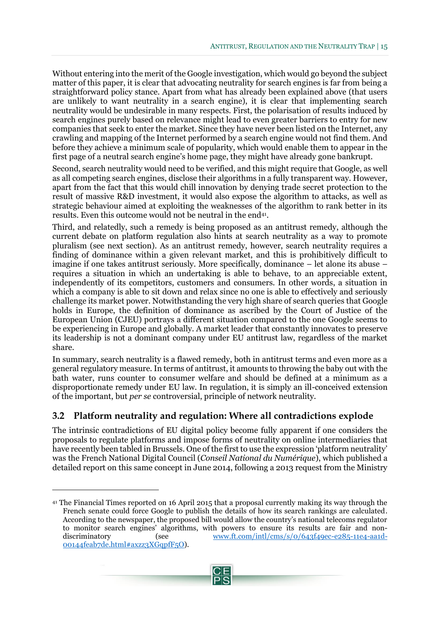Without entering into the merit of the Google investigation, which would go beyond the subject matter of this paper, it is clear that advocating neutrality for search engines is far from being a straightforward policy stance. Apart from what has already been explained above (that users are unlikely to want neutrality in a search engine), it is clear that implementing search neutrality would be undesirable in many respects. First, the polarisation of results induced by search engines purely based on relevance might lead to even greater barriers to entry for new companies that seek to enter the market. Since they have never been listed on the Internet, any crawling and mapping of the Internet performed by a search engine would not find them. And before they achieve a minimum scale of popularity, which would enable them to appear in the first page of a neutral search engine's home page, they might have already gone bankrupt.

Second, search neutrality would need to be verified, and this might require that Google, as well as all competing search engines, disclose their algorithms in a fully transparent way. However, apart from the fact that this would chill innovation by denying trade secret protection to the result of massive R&D investment, it would also expose the algorithm to attacks, as well as strategic behaviour aimed at exploiting the weaknesses of the algorithm to rank better in its results. Even this outcome would not be neutral in the end<sup>41</sup>.

Third, and relatedly, such a remedy is being proposed as an antitrust remedy, although the current debate on platform regulation also hints at search neutrality as a way to promote pluralism (see next section). As an antitrust remedy, however, search neutrality requires a finding of dominance within a given relevant market, and this is prohibitively difficult to imagine if one takes antitrust seriously. More specifically, dominance – let alone its abuse – requires a situation in which an undertaking is able to behave, to an appreciable extent, independently of its competitors, customers and consumers. In other words, a situation in which a company is able to sit down and relax since no one is able to effectively and seriously challenge its market power. Notwithstanding the very high share of search queries that Google holds in Europe, the definition of dominance as ascribed by the Court of Justice of the European Union (CJEU) portrays a different situation compared to the one Google seems to be experiencing in Europe and globally. A market leader that constantly innovates to preserve its leadership is not a dominant company under EU antitrust law, regardless of the market share.

In summary, search neutrality is a flawed remedy, both in antitrust terms and even more as a general regulatory measure. In terms of antitrust, it amounts to throwing the baby out with the bath water, runs counter to consumer welfare and should be defined at a minimum as a disproportionate remedy under EU law. In regulation, it is simply an ill-conceived extension of the important, but *per se* controversial, principle of network neutrality.

### <span id="page-16-0"></span>**3.2 Platform neutrality and regulation: Where all contradictions explode**

The intrinsic contradictions of EU digital policy become fully apparent if one considers the proposals to regulate platforms and impose forms of neutrality on online intermediaries that have recently been tabled in Brussels. One of the first to use the expression 'platform neutrality' was the French National Digital Council (*Conseil National du Numérique*), which published a detailed report on this same concept in June 2014, following a 2013 request from the Ministry



<sup>41</sup> The Financial Times reported on 16 April 2015 that a proposal currently making its way through the French senate could force Google to publish the details of how its search rankings are calculated. According to the newspaper, the proposed bill would allow the country's national telecoms regulator to monitor search engines' algorithms, with powers to ensure its results are fair and nondiscriminatory (see [www.ft.com/intl/cms/s/0/643f49ec-e285-11e4-aa1d-](http://www.ft.com/intl/cms/s/0/643f49ec-e285-11e4-aa1d-00144feab7de.html#axzz3XGqpfF5O)[00144feab7de.html#axzz3XGqpfF5O\)](http://www.ft.com/intl/cms/s/0/643f49ec-e285-11e4-aa1d-00144feab7de.html#axzz3XGqpfF5O).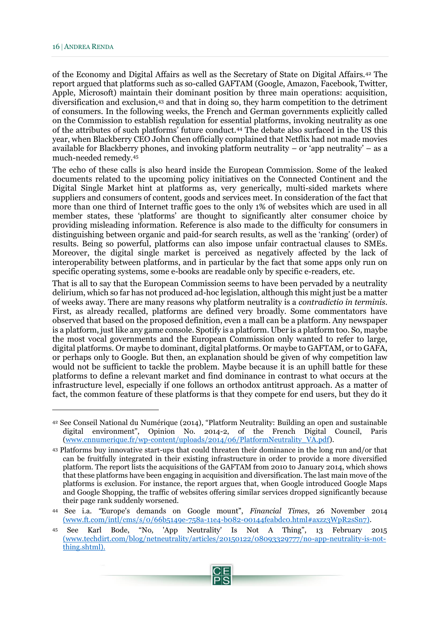of the Economy and Digital Affairs as well as the Secretary of State on Digital Affairs.<sup>42</sup> The report argued that platforms such as so-called GAFTAM (Google, Amazon, Facebook, Twitter, Apple, Microsoft) maintain their dominant position by three main operations: acquisition, diversification and exclusion,<sup>43</sup> and that in doing so, they harm competition to the detriment of consumers. In the following weeks, the French and German governments explicitly called on the Commission to establish regulation for essential platforms, invoking neutrality as one of the attributes of such platforms' future conduct.<sup>44</sup> The debate also surfaced in the US this year, when Blackberry CEO John Chen officially complained that Netflix had not made movies available for Blackberry phones, and invoking platform neutrality – or 'app neutrality' – as a much-needed remedy.<sup>45</sup>

The echo of these calls is also heard inside the European Commission. Some of the leaked documents related to the upcoming policy initiatives on the Connected Continent and the Digital Single Market hint at platforms as, very generically, multi-sided markets where suppliers and consumers of content, goods and services meet. In consideration of the fact that more than one third of Internet traffic goes to the only 1% of websites which are used in all member states, these 'platforms' are thought to significantly alter consumer choice by providing misleading information. Reference is also made to the difficulty for consumers in distinguishing between organic and paid-for search results, as well as the 'ranking' (order) of results. Being so powerful, platforms can also impose unfair contractual clauses to SMEs. Moreover, the digital single market is perceived as negatively affected by the lack of interoperability between platforms, and in particular by the fact that some apps only run on specific operating systems, some e-books are readable only by specific e-readers, etc.

That is all to say that the European Commission seems to have been pervaded by a neutrality delirium, which so far has not produced ad-hoc legislation, although this might just be a matter of weeks away. There are many reasons why platform neutrality is a *contradictio in terminis*. First, as already recalled, platforms are defined very broadly. Some commentators have observed that based on the proposed definition, even a mall can be a platform. Any newspaper is a platform, just like any game console. Spotify is a platform. Uber is a platform too. So, maybe the most vocal governments and the European Commission only wanted to refer to large, digital platforms. Or maybe to dominant, digital platforms. Or maybe to GAFTAM, or to GAFA, or perhaps only to Google. But then, an explanation should be given of why competition law would not be sufficient to tackle the problem. Maybe because it is an uphill battle for these platforms to define a relevant market and find dominance in contrast to what occurs at the infrastructure level, especially if one follows an orthodox antitrust approach. As a matter of fact, the common feature of these platforms is that they compete for end users, but they do it

<sup>42</sup> See Conseil National du Numérique (2014), "Platform Neutrality: Building an open and sustainable digital environment", Opinion No. 2014-2, of the French Digital Council, Paris [\(www.cnnumerique.fr/wp-content/uploads/2014/06/PlatformNeutrality\\_VA.pdf\)](http://www.cnnumerique.fr/wp-content/uploads/2014/06/PlatformNeutrality_VA.pdf).

<sup>43</sup> Platforms buy innovative start-ups that could threaten their dominance in the long run and/or that can be fruitfully integrated in their existing infrastructure in order to provide a more diversified platform. The report lists the acquisitions of the GAFTAM from 2010 to January 2014, which shows that these platforms have been engaging in acquisition and diversification. The last main move of the platforms is exclusion. For instance, the report argues that, when Google introduced Google Maps and Google Shopping, the traffic of websites offering similar services dropped significantly because their page rank suddenly worsened.

<sup>44</sup> See i.a*. "*Europe's demands on Google mount", *Financial Times*, 26 November 2014 [\(www.ft.com/intl/cms/s/0/66b5149e-758a-11e4-b082-00144feabdc0.html#axzz3WpR2sSn7\)](http://(www.ft.com/intl/cms/s/0/66b5149e-758a-11e4-b082-00144feabdc0.html#axzz3WpR2sSn7).

<sup>45</sup> See Karl Bode, "No, 'App Neutrality' Is Not A Thing", 13 February 2015 [\(www.techdirt.com/blog/netneutrality/articles/20150122/08093329777/no-app-neutrality-is-not](http://(www.techdirt.com/blog/netneutrality/articles/20150122/08093329777/no-app-neutrality-is-not-thing.shtml)[thing.shtml\)](http://(www.techdirt.com/blog/netneutrality/articles/20150122/08093329777/no-app-neutrality-is-not-thing.shtml).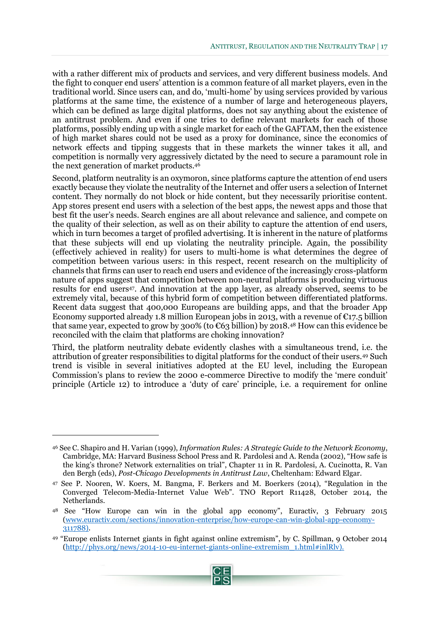with a rather different mix of products and services, and very different business models. And the fight to conquer end users' attention is a common feature of all market players, even in the traditional world. Since users can, and do, 'multi-home' by using services provided by various platforms at the same time, the existence of a number of large and heterogeneous players, which can be defined as large digital platforms, does not say anything about the existence of an antitrust problem. And even if one tries to define relevant markets for each of those platforms, possibly ending up with a single market for each of the GAFTAM, then the existence of high market shares could not be used as a proxy for dominance, since the economics of network effects and tipping suggests that in these markets the winner takes it all, and competition is normally very aggressively dictated by the need to secure a paramount role in the next generation of market products.<sup>46</sup>

Second, platform neutrality is an oxymoron, since platforms capture the attention of end users exactly because they violate the neutrality of the Internet and offer users a selection of Internet content. They normally do not block or hide content, but they necessarily prioritise content. App stores present end users with a selection of the best apps, the newest apps and those that best fit the user's needs. Search engines are all about relevance and salience, and compete on the quality of their selection, as well as on their ability to capture the attention of end users, which in turn becomes a target of profiled advertising. It is inherent in the nature of platforms that these subjects will end up violating the neutrality principle. Again, the possibility (effectively achieved in reality) for users to multi-home is what determines the degree of competition between various users: in this respect, recent research on the multiplicity of channels that firms can user to reach end users and evidence of the increasingly cross-platform nature of apps suggest that competition between non-neutral platforms is producing virtuous results for end users47. And innovation at the app layer, as already observed, seems to be extremely vital, because of this hybrid form of competition between differentiated platforms. Recent data suggest that 400,000 Europeans are building apps, and that the broader App Economy supported already 1.8 million European jobs in 2013, with a revenue of  $\epsilon_{17.5}$  billion that same year, expected to grow by 300% (to  $\epsilon$ 63 billion) by 2018.<sup>48</sup> How can this evidence be reconciled with the claim that platforms are choking innovation?

Third, the platform neutrality debate evidently clashes with a simultaneous trend, i.e. the attribution of greater responsibilities to digital platforms for the conduct of their users.<sup>49</sup> Such trend is visible in several initiatives adopted at the EU level, including the European Commission's plans to review the 2000 e-commerce Directive to modify the 'mere conduit' principle (Article 12) to introduce a 'duty of care' principle, i.e. a requirement for online

<sup>46</sup> See C. Shapiro and H. Varian (1999), *Information Rules: A Strategic Guide to the Network Economy*, Cambridge, MA: Harvard Business School Press and R. Pardolesi and A. Renda (2002), "How safe is the king's throne? Network externalities on trial", Chapter 11 in R. Pardolesi, A. Cucinotta, R. Van den Bergh (eds), *Post-Chicago Developments in Antitrust Law*, Cheltenham: Edward Elgar.

<sup>47</sup> See P. Nooren, W. Koers, M. Bangma, F. Berkers and M. Boerkers (2014), "Regulation in the Converged Telecom-Media-Internet Value Web". TNO Report R11428, October 2014, the Netherlands.

<sup>48</sup> See "How Europe can win in the global app economy", Euractiv, 3 February 2015 [\(www.euractiv.com/sections/innovation-enterprise/how-europe-can-win-global-app-economy-](http://www.euractiv.com/sections/innovation-enterprise/how-europe-can-win-global-app-economy-311788)[311788\)](http://www.euractiv.com/sections/innovation-enterprise/how-europe-can-win-global-app-economy-311788).

<sup>49</sup> "Europe enlists Internet giants in fight against online extremism", by C. Spillman, 9 October 2014 [\(http://phys.org/news/2014-10-eu-internet-giants-online-extremism\\_1.html#inlRlv\)](http://phys.org/news/2014-10-eu-internet-giants-online-extremism_1.html#inlRlv).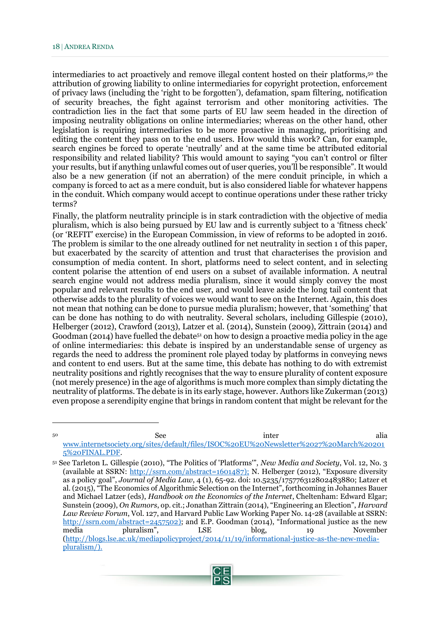intermediaries to act proactively and remove illegal content hosted on their platforms,<sup>50</sup> the attribution of growing liability to online intermediaries for copyright protection, enforcement of privacy laws (including the 'right to be forgotten'), defamation, spam filtering, notification of security breaches, the fight against terrorism and other monitoring activities. The contradiction lies in the fact that some parts of EU law seem headed in the direction of imposing neutrality obligations on online intermediaries; whereas on the other hand, other legislation is requiring intermediaries to be more proactive in managing, prioritising and editing the content they pass on to the end users. How would this work? Can, for example, search engines be forced to operate 'neutrally' and at the same time be attributed editorial responsibility and related liability? This would amount to saying "you can't control or filter your results, but if anything unlawful comes out of user queries, you'll be responsible". It would also be a new generation (if not an aberration) of the mere conduit principle, in which a company is forced to act as a mere conduit, but is also considered liable for whatever happens in the conduit. Which company would accept to continue operations under these rather tricky terms?

Finally, the platform neutrality principle is in stark contradiction with the objective of media pluralism, which is also being pursued by EU law and is currently subject to a 'fitness check' (or 'REFIT' exercise) in the European Commission, in view of reforms to be adopted in 2016. The problem is similar to the one already outlined for net neutrality in section 1 of this paper, but exacerbated by the scarcity of attention and trust that characterises the provision and consumption of media content. In short, platforms need to select content, and in selecting content polarise the attention of end users on a subset of available information. A neutral search engine would not address media pluralism, since it would simply convey the most popular and relevant results to the end user, and would leave aside the long tail content that otherwise adds to the plurality of voices we would want to see on the Internet. Again, this does not mean that nothing can be done to pursue media pluralism; however, that 'something' that can be done has nothing to do with neutrality. Several scholars, including Gillespie (2010), Helberger (2012), Crawford (2013), Latzer et al. (2014), Sunstein (2009), Zittrain (2014) and Goodman (2014) have fuelled the debate<sup>51</sup> on how to design a proactive media policy in the age of online intermediaries: this debate is inspired by an understandable sense of urgency as regards the need to address the prominent role played today by platforms in conveying news and content to end users. But at the same time, this debate has nothing to do with extremist neutrality positions and rightly recognises that the way to ensure plurality of content exposure (not merely presence) in the age of algorithms is much more complex than simply dictating the neutrality of platforms. The debate is in its early stage, however. Authors like Zukerman (2013) even propose a serendipity engine that brings in random content that might be relevant for the

<sup>&</sup>lt;sup>50</sup> See inter alia [www.internetsociety.org/sites/default/files/ISOC%20EU%20Newsletter%2027%20March%20201](http://www.internetsociety.org/sites/default/files/ISOC%20EU%20Newsletter%2027%20March%202015%20FINAL.PDF) [5%20FINAL.PDF.](http://www.internetsociety.org/sites/default/files/ISOC%20EU%20Newsletter%2027%20March%202015%20FINAL.PDF)

<sup>51</sup> See Tarleton L. Gillespie (2010), "The Politics of 'Platforms'", *New Media and Society*, Vol. 12, No. 3 (available at SSRN: [http://ssrn.com/abstract=1601487\)](http://ssrn.com/abstract=1601487); N. Helberger (2012), "Exposure diversity as a policy goal", *Journal of Media Law*, 4 (1), 65-92. doi: 10.5235/175776312802483880; Latzer et al. (2015), "The Economics of Algorithmic Selection on the Internet", forthcoming in Johannes Bauer and Michael Latzer (eds), *Handbook on the Economics of the Internet*, Cheltenham: Edward Elgar; Sunstein (2009), *On Rumors*, op. cit.; Jonathan Zittrain (2014), "Engineering an Election", *Harvard Law Review Forum*, Vol. 127, and Harvard Public Law Working Paper No. 14-28 (available at SSRN: [http://ssrn.com/abstract=2457502\)](http://ssrn.com/abstract=2457502); and E.P. Goodman (2014), "Informational justice as the new media pluralism", LSE blog, 19 November [\(http://blogs.lse.ac.uk/mediapolicyproject/2014/11/19/informational-justice-as-the-new-media](http://blogs.lse.ac.uk/mediapolicyproject/2014/11/19/informational-justice-as-the-new-media-pluralism/)[pluralism/\)](http://blogs.lse.ac.uk/mediapolicyproject/2014/11/19/informational-justice-as-the-new-media-pluralism/).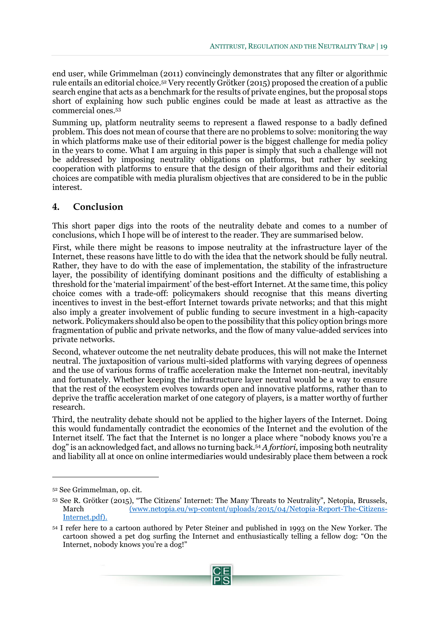end user, while Grimmelman (2011) convincingly demonstrates that any filter or algorithmic rule entails an editorial choice.<sup>52</sup> Very recently Grötker (2015) proposed the creation of a public search engine that acts as a benchmark for the results of private engines, but the proposal stops short of explaining how such public engines could be made at least as attractive as the commercial ones.<sup>53</sup>

Summing up, platform neutrality seems to represent a flawed response to a badly defined problem. This does not mean of course that there are no problems to solve: monitoring the way in which platforms make use of their editorial power is the biggest challenge for media policy in the years to come. What I am arguing in this paper is simply that such a challenge will not be addressed by imposing neutrality obligations on platforms, but rather by seeking cooperation with platforms to ensure that the design of their algorithms and their editorial choices are compatible with media pluralism objectives that are considered to be in the public interest.

#### <span id="page-20-0"></span>**4. Conclusion**

This short paper digs into the roots of the neutrality debate and comes to a number of conclusions, which I hope will be of interest to the reader. They are summarised below.

First, while there might be reasons to impose neutrality at the infrastructure layer of the Internet, these reasons have little to do with the idea that the network should be fully neutral. Rather, they have to do with the ease of implementation, the stability of the infrastructure layer, the possibility of identifying dominant positions and the difficulty of establishing a threshold for the 'material impairment' of the best-effort Internet. At the same time, this policy choice comes with a trade-off: policymakers should recognise that this means diverting incentives to invest in the best-effort Internet towards private networks; and that this might also imply a greater involvement of public funding to secure investment in a high-capacity network. Policymakers should also be open to the possibility that this policy option brings more fragmentation of public and private networks, and the flow of many value-added services into private networks.

Second, whatever outcome the net neutrality debate produces, this will not make the Internet neutral. The juxtaposition of various multi-sided platforms with varying degrees of openness and the use of various forms of traffic acceleration make the Internet non-neutral, inevitably and fortunately. Whether keeping the infrastructure layer neutral would be a way to ensure that the rest of the ecosystem evolves towards open and innovative platforms, rather than to deprive the traffic acceleration market of one category of players, is a matter worthy of further research.

Third, the neutrality debate should not be applied to the higher layers of the Internet. Doing this would fundamentally contradict the economics of the Internet and the evolution of the Internet itself. The fact that the Internet is no longer a place where "nobody knows you're a dog" is an acknowledged fact, and allows no turning back.<sup>54</sup> *A fortiori*, imposing both neutrality and liability all at once on online intermediaries would undesirably place them between a rock

<sup>54</sup> I refer here to a cartoon authored by Peter Steiner and published in 1993 on the New Yorker. The cartoon showed a pet dog surfing the Internet and enthusiastically telling a fellow dog: "On the Internet, nobody knows you're a dog!"



<sup>52</sup> See Grimmelman, op. cit.

<sup>53</sup> See R. Grötker (2015), "The Citizens' Internet: The Many Threats to Neutrality", Netopia, Brussels, March [\(www.netopia.eu/wp-content/uploads/2015/04/Netopia-Report-The-Citizens-](http://(www.netopia.eu/wp-content/uploads/2015/04/Netopia-Report-The-Citizens-Internet.pdf)[Internet.pdf\)](http://(www.netopia.eu/wp-content/uploads/2015/04/Netopia-Report-The-Citizens-Internet.pdf).